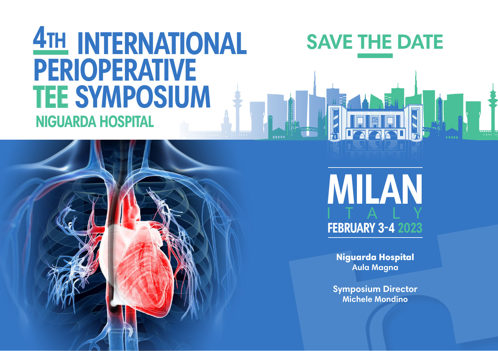## **INTERNATIONAL 4th PERIOPERATIVE TEE SYMPOSIUM NIGUARDA HOSPITAL**



**MILAN**

**FEBRUARY 3-4** 

Niguarda Hospital **Aula Magna**

**Symposium Director Michele Mondino**